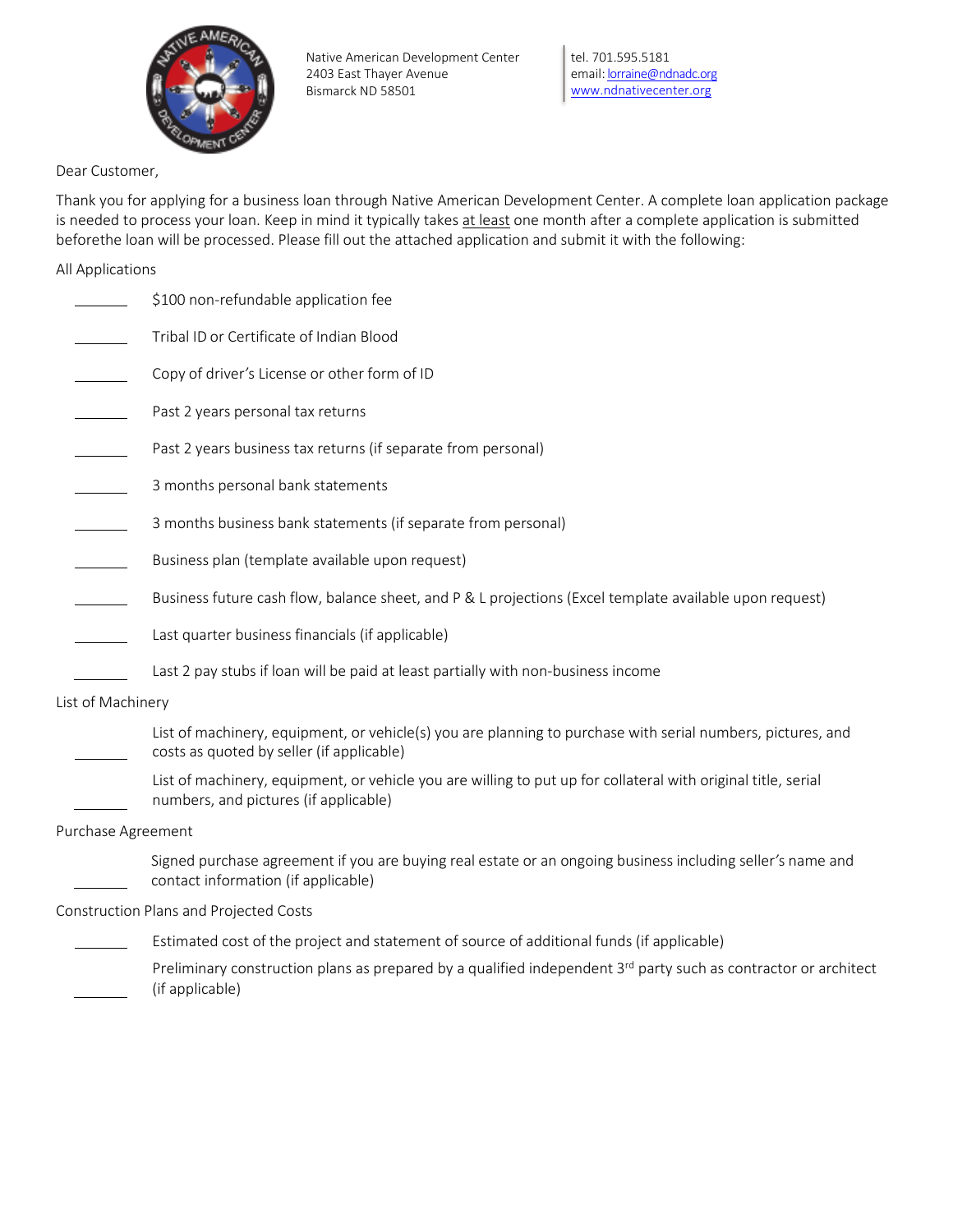

tel. 701.595.5181 email: **lorraine@ndnadc.org** [www.ndnativecenter.org](http://www.ndnativecenter.org/)

Dear Customer,

Thank you for applying for a business loan through Native American Development Center. A complete loan application package is needed to process your loan. Keep in mind it typically takes at least one month after a complete application is submitted beforethe loan will be processed. Please fill out the attached application and submit it with the following:

All Applications

|                    | \$100 non-refundable application fee                                                                                                                     |
|--------------------|----------------------------------------------------------------------------------------------------------------------------------------------------------|
|                    | Tribal ID or Certificate of Indian Blood                                                                                                                 |
|                    | Copy of driver's License or other form of ID                                                                                                             |
|                    | Past 2 years personal tax returns                                                                                                                        |
|                    | Past 2 years business tax returns (if separate from personal)                                                                                            |
|                    | 3 months personal bank statements                                                                                                                        |
|                    | 3 months business bank statements (if separate from personal)                                                                                            |
|                    | Business plan (template available upon request)                                                                                                          |
|                    | Business future cash flow, balance sheet, and P & L projections (Excel template available upon request)                                                  |
|                    | Last quarter business financials (if applicable)                                                                                                         |
|                    | Last 2 pay stubs if loan will be paid at least partially with non-business income                                                                        |
| List of Machinery  |                                                                                                                                                          |
|                    | List of machinery, equipment, or vehicle(s) you are planning to purchase with serial numbers, pictures, and<br>costs as quoted by seller (if applicable) |
|                    | List of machinery, equipment, or vehicle you are willing to put up for collateral with original title, serial<br>numbers, and pictures (if applicable)   |
| Purchase Agreement |                                                                                                                                                          |
|                    | Signed purchase agreement if you are buying real estate or an ongoing business including seller's name and<br>contact information (if applicable)        |
|                    | Construction Plans and Projected Costs                                                                                                                   |
|                    | Estimated cost of the project and statement of source of additional funds (if applicable)                                                                |

Preliminary construction plans as prepared by a qualified independent 3<sup>rd</sup> party such as contractor or architect (if applicable)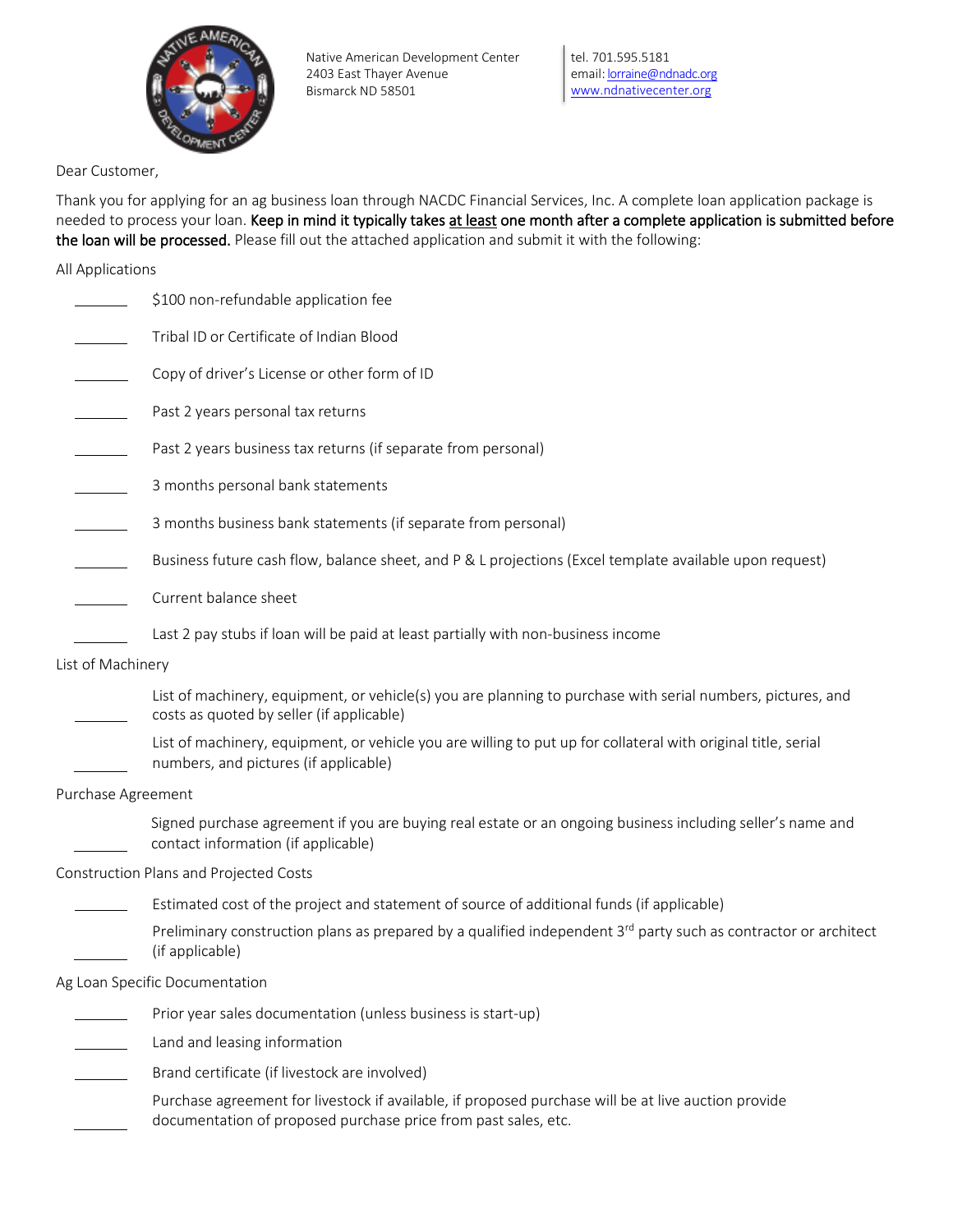

tel. 701.595.5181 email: **lorraine@ndnadc.org** [www.ndnativecenter.org](http://www.ndnativecenter.org/)

Dear Customer,

Thank you for applying for an ag business loan through NACDC Financial Services, Inc. A complete loan application package is needed to process your loan. Keep in mind it typically takes at least one month after a complete application is submitted before the loan will be processed. Please fill out the attached application and submit it with the following:

All Applications

|                    | \$100 non-refundable application fee                                                                                                                                  |
|--------------------|-----------------------------------------------------------------------------------------------------------------------------------------------------------------------|
|                    | Tribal ID or Certificate of Indian Blood                                                                                                                              |
|                    | Copy of driver's License or other form of ID                                                                                                                          |
|                    | Past 2 years personal tax returns                                                                                                                                     |
|                    | Past 2 years business tax returns (if separate from personal)                                                                                                         |
|                    | 3 months personal bank statements                                                                                                                                     |
|                    | 3 months business bank statements (if separate from personal)                                                                                                         |
|                    | Business future cash flow, balance sheet, and P & L projections (Excel template available upon request)                                                               |
|                    | Current balance sheet                                                                                                                                                 |
|                    | Last 2 pay stubs if loan will be paid at least partially with non-business income                                                                                     |
| List of Machinery  |                                                                                                                                                                       |
|                    | List of machinery, equipment, or vehicle(s) you are planning to purchase with serial numbers, pictures, and<br>costs as quoted by seller (if applicable)              |
|                    | List of machinery, equipment, or vehicle you are willing to put up for collateral with original title, serial<br>numbers, and pictures (if applicable)                |
| Purchase Agreement |                                                                                                                                                                       |
|                    | Signed purchase agreement if you are buying real estate or an ongoing business including seller's name and<br>contact information (if applicable)                     |
|                    | Construction Plans and Projected Costs                                                                                                                                |
|                    | Estimated cost of the project and statement of source of additional funds (if applicable)                                                                             |
|                    | Preliminary construction plans as prepared by a qualified independent 3 <sup>rd</sup> party such as contractor or architect<br>(if applicable)                        |
|                    | Ag Loan Specific Documentation                                                                                                                                        |
|                    | Prior year sales documentation (unless business is start-up)                                                                                                          |
|                    | Land and leasing information                                                                                                                                          |
|                    | Brand certificate (if livestock are involved)                                                                                                                         |
|                    | Purchase agreement for livestock if available, if proposed purchase will be at live auction provide<br>documentation of proposed purchase price from past sales, etc. |
|                    |                                                                                                                                                                       |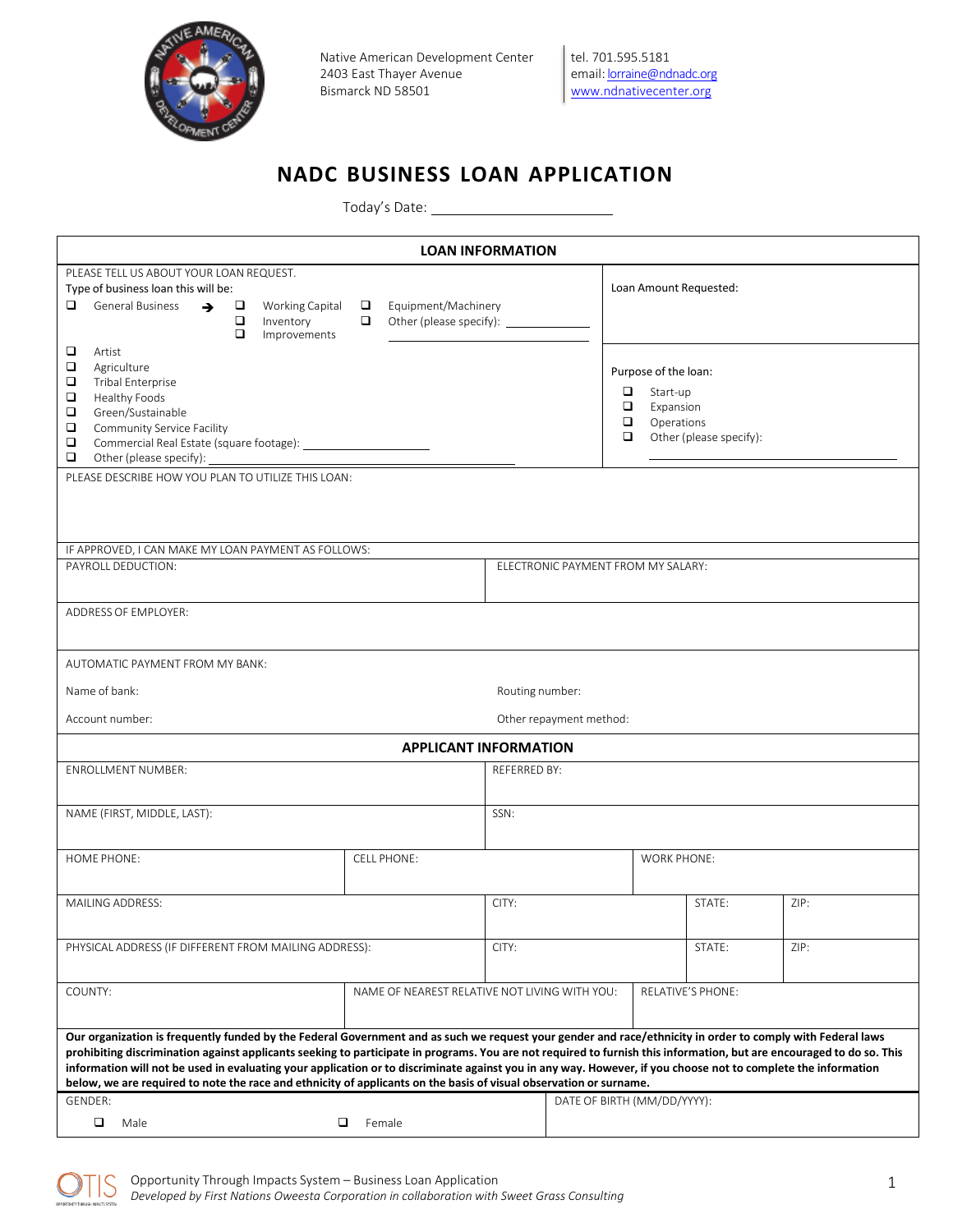

## **NADC BUSINESS LOAN APPLICATION**

Today's Date:

|                                                                                                                                                                                                                                                                                                                                                                                                                                                                                                                                                                                                                                       |                                                                                 | <b>LOAN INFORMATION</b>                      |                                                                                                                           |      |  |  |  |
|---------------------------------------------------------------------------------------------------------------------------------------------------------------------------------------------------------------------------------------------------------------------------------------------------------------------------------------------------------------------------------------------------------------------------------------------------------------------------------------------------------------------------------------------------------------------------------------------------------------------------------------|---------------------------------------------------------------------------------|----------------------------------------------|---------------------------------------------------------------------------------------------------------------------------|------|--|--|--|
| PLEASE TELL US ABOUT YOUR LOAN REQUEST.<br>Type of business loan this will be:<br>▫<br>General Business<br>$\rightarrow$ $\Box$<br>$\Box$<br>Inventory<br>□<br>Improvements                                                                                                                                                                                                                                                                                                                                                                                                                                                           | Working Capital $\Box$ Equipment/Machinery<br>$\Box$<br>Other (please specify): |                                              | Loan Amount Requested:                                                                                                    |      |  |  |  |
| ◘<br>Artist<br>$\Box$<br>Agriculture<br>$\Box$<br>Tribal Enterprise<br>$\Box$<br>Healthy Foods<br>$\Box$<br>Green/Sustainable<br>❏<br><b>Community Service Facility</b><br>$\Box$<br>$\Box$<br>PLEASE DESCRIBE HOW YOU PLAN TO UTILIZE THIS LOAN:                                                                                                                                                                                                                                                                                                                                                                                     |                                                                                 |                                              | Purpose of the loan:<br>$\Box$<br>Start-up<br>$\Box$<br>Expansion<br>$\Box$<br>Operations<br>□<br>Other (please specify): |      |  |  |  |
|                                                                                                                                                                                                                                                                                                                                                                                                                                                                                                                                                                                                                                       |                                                                                 |                                              |                                                                                                                           |      |  |  |  |
| IF APPROVED, I CAN MAKE MY LOAN PAYMENT AS FOLLOWS:<br>PAYROLL DEDUCTION:                                                                                                                                                                                                                                                                                                                                                                                                                                                                                                                                                             |                                                                                 | ELECTRONIC PAYMENT FROM MY SALARY:           |                                                                                                                           |      |  |  |  |
| <b>ADDRESS OF EMPLOYER:</b>                                                                                                                                                                                                                                                                                                                                                                                                                                                                                                                                                                                                           |                                                                                 |                                              |                                                                                                                           |      |  |  |  |
| AUTOMATIC PAYMENT FROM MY BANK:                                                                                                                                                                                                                                                                                                                                                                                                                                                                                                                                                                                                       |                                                                                 |                                              |                                                                                                                           |      |  |  |  |
| Name of bank:                                                                                                                                                                                                                                                                                                                                                                                                                                                                                                                                                                                                                         |                                                                                 | Routing number:                              |                                                                                                                           |      |  |  |  |
| Account number:                                                                                                                                                                                                                                                                                                                                                                                                                                                                                                                                                                                                                       |                                                                                 | Other repayment method:                      |                                                                                                                           |      |  |  |  |
| <b>ENROLLMENT NUMBER:</b>                                                                                                                                                                                                                                                                                                                                                                                                                                                                                                                                                                                                             |                                                                                 | <b>APPLICANT INFORMATION</b><br>REFERRED BY: |                                                                                                                           |      |  |  |  |
|                                                                                                                                                                                                                                                                                                                                                                                                                                                                                                                                                                                                                                       |                                                                                 |                                              |                                                                                                                           |      |  |  |  |
| NAME (FIRST, MIDDLE, LAST):                                                                                                                                                                                                                                                                                                                                                                                                                                                                                                                                                                                                           |                                                                                 | SSN:                                         |                                                                                                                           |      |  |  |  |
| HOME PHONE:                                                                                                                                                                                                                                                                                                                                                                                                                                                                                                                                                                                                                           | <b>CELL PHONE:</b>                                                              |                                              | <b>WORK PHONE:</b>                                                                                                        |      |  |  |  |
| MAILING ADDRESS:                                                                                                                                                                                                                                                                                                                                                                                                                                                                                                                                                                                                                      |                                                                                 | CITY:                                        | STATE:                                                                                                                    | ZIP: |  |  |  |
| PHYSICAL ADDRESS (IF DIFFERENT FROM MAILING ADDRESS):                                                                                                                                                                                                                                                                                                                                                                                                                                                                                                                                                                                 |                                                                                 | CITY:                                        | STATE:                                                                                                                    | ZIP: |  |  |  |
| COUNTY:                                                                                                                                                                                                                                                                                                                                                                                                                                                                                                                                                                                                                               | NAME OF NEAREST RELATIVE NOT LIVING WITH YOU:                                   |                                              | <b>RELATIVE'S PHONE:</b>                                                                                                  |      |  |  |  |
| Our organization is frequently funded by the Federal Government and as such we request your gender and race/ethnicity in order to comply with Federal laws<br>prohibiting discrimination against applicants seeking to participate in programs. You are not required to furnish this information, but are encouraged to do so. This<br>information will not be used in evaluating your application or to discriminate against you in any way. However, if you choose not to complete the information<br>below, we are required to note the race and ethnicity of applicants on the basis of visual observation or surname.<br>GENDER: |                                                                                 |                                              | DATE OF BIRTH (MM/DD/YYYY):                                                                                               |      |  |  |  |
| $\Box$<br>Male                                                                                                                                                                                                                                                                                                                                                                                                                                                                                                                                                                                                                        | □<br>Female                                                                     |                                              |                                                                                                                           |      |  |  |  |

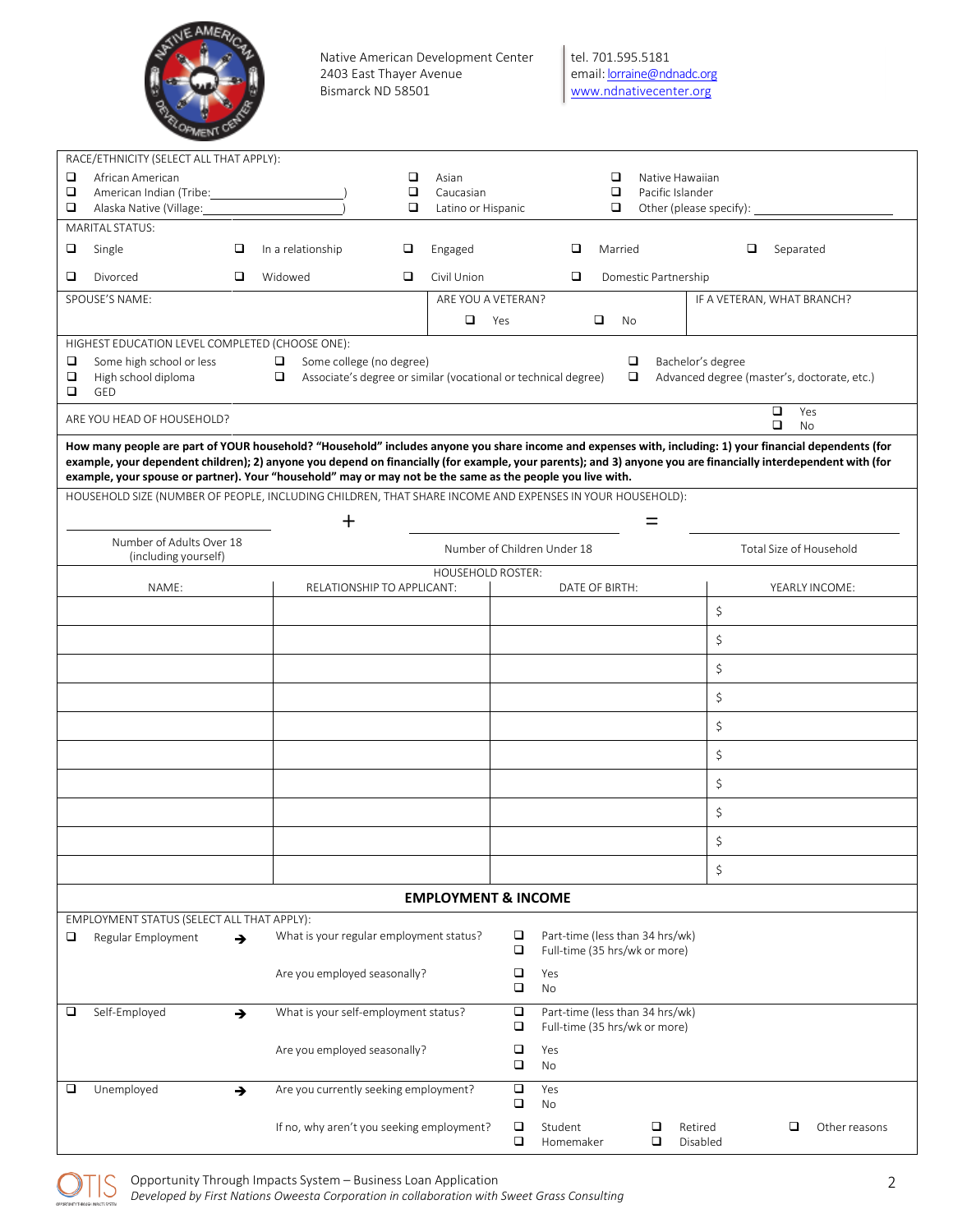

| RACE/ETHNICITY (SELECT ALL THAT APPLY):                                                                                                                                                                                                                                      |                                                                     |                                |                             |                      |                     |                                                                  |                                             |                |
|------------------------------------------------------------------------------------------------------------------------------------------------------------------------------------------------------------------------------------------------------------------------------|---------------------------------------------------------------------|--------------------------------|-----------------------------|----------------------|---------------------|------------------------------------------------------------------|---------------------------------------------|----------------|
| □<br>African American                                                                                                                                                                                                                                                        |                                                                     | □<br>Asian                     |                             |                      | □                   | Native Hawaiian                                                  |                                             |                |
| □<br>American Indian (Tribe:                                                                                                                                                                                                                                                 |                                                                     | $\Box$<br>Caucasian            |                             |                      | □                   | Pacific Islander                                                 |                                             |                |
| □<br>Alaska Native (Village:                                                                                                                                                                                                                                                 |                                                                     | $\Box$<br>Latino or Hispanic   |                             |                      | □                   | Other (please specify):                                          |                                             |                |
| <b>MARITAL STATUS:</b>                                                                                                                                                                                                                                                       |                                                                     |                                |                             |                      |                     |                                                                  |                                             |                |
| Single<br>□<br>❏                                                                                                                                                                                                                                                             | In a relationship<br>❏                                              | Engaged                        |                             | □                    | Married             |                                                                  | $\Box$<br>Separated                         |                |
| ❏<br>Divorced<br>□                                                                                                                                                                                                                                                           | Widowed<br>❏                                                        | Civil Union                    |                             | ❏                    |                     | Domestic Partnership                                             |                                             |                |
| SPOUSE'S NAME:                                                                                                                                                                                                                                                               |                                                                     |                                | ARE YOU A VETERAN?          |                      |                     |                                                                  | IF A VETERAN, WHAT BRANCH?                  |                |
|                                                                                                                                                                                                                                                                              |                                                                     | $\Box$                         | Yes                         |                      | $\Box$<br><b>No</b> |                                                                  |                                             |                |
| HIGHEST EDUCATION LEVEL COMPLETED (CHOOSE ONE):                                                                                                                                                                                                                              |                                                                     |                                |                             |                      |                     |                                                                  |                                             |                |
| Some high school or less<br>❏                                                                                                                                                                                                                                                | Some college (no degree)<br>$\Box$                                  |                                |                             |                      | □                   |                                                                  | Bachelor's degree                           |                |
| □<br>High school diploma                                                                                                                                                                                                                                                     | Associate's degree or similar (vocational or technical degree)<br>▫ |                                |                             |                      | □                   |                                                                  | Advanced degree (master's, doctorate, etc.) |                |
| □<br>GED                                                                                                                                                                                                                                                                     |                                                                     |                                |                             |                      |                     |                                                                  | $\Box$                                      | Yes            |
| ARE YOU HEAD OF HOUSEHOLD?                                                                                                                                                                                                                                                   |                                                                     |                                |                             |                      |                     |                                                                  | □                                           | No             |
| How many people are part of YOUR household? "Household" includes anyone you share income and expenses with, including: 1) your financial dependents (for                                                                                                                     |                                                                     |                                |                             |                      |                     |                                                                  |                                             |                |
| example, your dependent children); 2) anyone you depend on financially (for example, your parents); and 3) anyone you are financially interdependent with (for<br>example, your spouse or partner). Your "household" may or may not be the same as the people you live with. |                                                                     |                                |                             |                      |                     |                                                                  |                                             |                |
| HOUSEHOLD SIZE (NUMBER OF PEOPLE, INCLUDING CHILDREN, THAT SHARE INCOME AND EXPENSES IN YOUR HOUSEHOLD):                                                                                                                                                                     |                                                                     |                                |                             |                      |                     |                                                                  |                                             |                |
|                                                                                                                                                                                                                                                                              | $\bm{+}$                                                            |                                |                             |                      |                     | $=$                                                              |                                             |                |
| Number of Adults Over 18                                                                                                                                                                                                                                                     |                                                                     |                                | Number of Children Under 18 |                      |                     |                                                                  | Total Size of Household                     |                |
| (including yourself)                                                                                                                                                                                                                                                         |                                                                     | <b>HOUSEHOLD ROSTER:</b>       |                             |                      |                     |                                                                  |                                             |                |
| NAME:                                                                                                                                                                                                                                                                        | RELATIONSHIP TO APPLICANT:                                          |                                |                             |                      | DATE OF BIRTH:      |                                                                  |                                             | YEARLY INCOME: |
|                                                                                                                                                                                                                                                                              |                                                                     |                                |                             |                      |                     |                                                                  | \$                                          |                |
|                                                                                                                                                                                                                                                                              |                                                                     |                                |                             |                      |                     |                                                                  |                                             |                |
|                                                                                                                                                                                                                                                                              |                                                                     |                                |                             |                      |                     |                                                                  | \$                                          |                |
|                                                                                                                                                                                                                                                                              |                                                                     |                                |                             |                      |                     |                                                                  | \$                                          |                |
|                                                                                                                                                                                                                                                                              |                                                                     |                                |                             |                      |                     |                                                                  | \$                                          |                |
|                                                                                                                                                                                                                                                                              |                                                                     |                                |                             |                      |                     |                                                                  | \$                                          |                |
|                                                                                                                                                                                                                                                                              |                                                                     |                                |                             |                      |                     |                                                                  | \$                                          |                |
|                                                                                                                                                                                                                                                                              |                                                                     |                                |                             |                      |                     |                                                                  | \$                                          |                |
|                                                                                                                                                                                                                                                                              |                                                                     |                                |                             |                      |                     |                                                                  | \$                                          |                |
|                                                                                                                                                                                                                                                                              |                                                                     |                                |                             |                      |                     |                                                                  | \$                                          |                |
|                                                                                                                                                                                                                                                                              |                                                                     |                                |                             |                      |                     |                                                                  | \$                                          |                |
|                                                                                                                                                                                                                                                                              |                                                                     | <b>EMPLOYMENT &amp; INCOME</b> |                             |                      |                     |                                                                  |                                             |                |
| EMPLOYMENT STATUS (SELECT ALL THAT APPLY):                                                                                                                                                                                                                                   |                                                                     |                                |                             |                      |                     |                                                                  |                                             |                |
| □<br>Regular Employment<br>$\rightarrow$                                                                                                                                                                                                                                     | What is your regular employment status?                             |                                | □<br>□                      |                      |                     | Part-time (less than 34 hrs/wk)<br>Full-time (35 hrs/wk or more) |                                             |                |
|                                                                                                                                                                                                                                                                              | Are you employed seasonally?                                        |                                | $\Box$                      | Yes                  |                     |                                                                  |                                             |                |
|                                                                                                                                                                                                                                                                              |                                                                     |                                | $\Box$                      | No                   |                     |                                                                  |                                             |                |
| Self-Employed<br>❏<br>→                                                                                                                                                                                                                                                      | What is your self-employment status?                                |                                | $\Box$<br>□                 |                      |                     | Part-time (less than 34 hrs/wk)<br>Full-time (35 hrs/wk or more) |                                             |                |
|                                                                                                                                                                                                                                                                              | Are you employed seasonally?                                        |                                | □                           | Yes                  |                     |                                                                  |                                             |                |
|                                                                                                                                                                                                                                                                              |                                                                     |                                | $\Box$                      | No                   |                     |                                                                  |                                             |                |
| Unemployed<br>❏<br>$\rightarrow$                                                                                                                                                                                                                                             | Are you currently seeking employment?                               |                                | $\Box$<br>$\Box$            | Yes<br>No            |                     |                                                                  |                                             |                |
|                                                                                                                                                                                                                                                                              | If no, why aren't you seeking employment?                           |                                | $\Box$<br>❏                 | Student<br>Homemaker |                     | Retired<br>o<br>□<br>Disabled                                    | □                                           | Other reasons  |

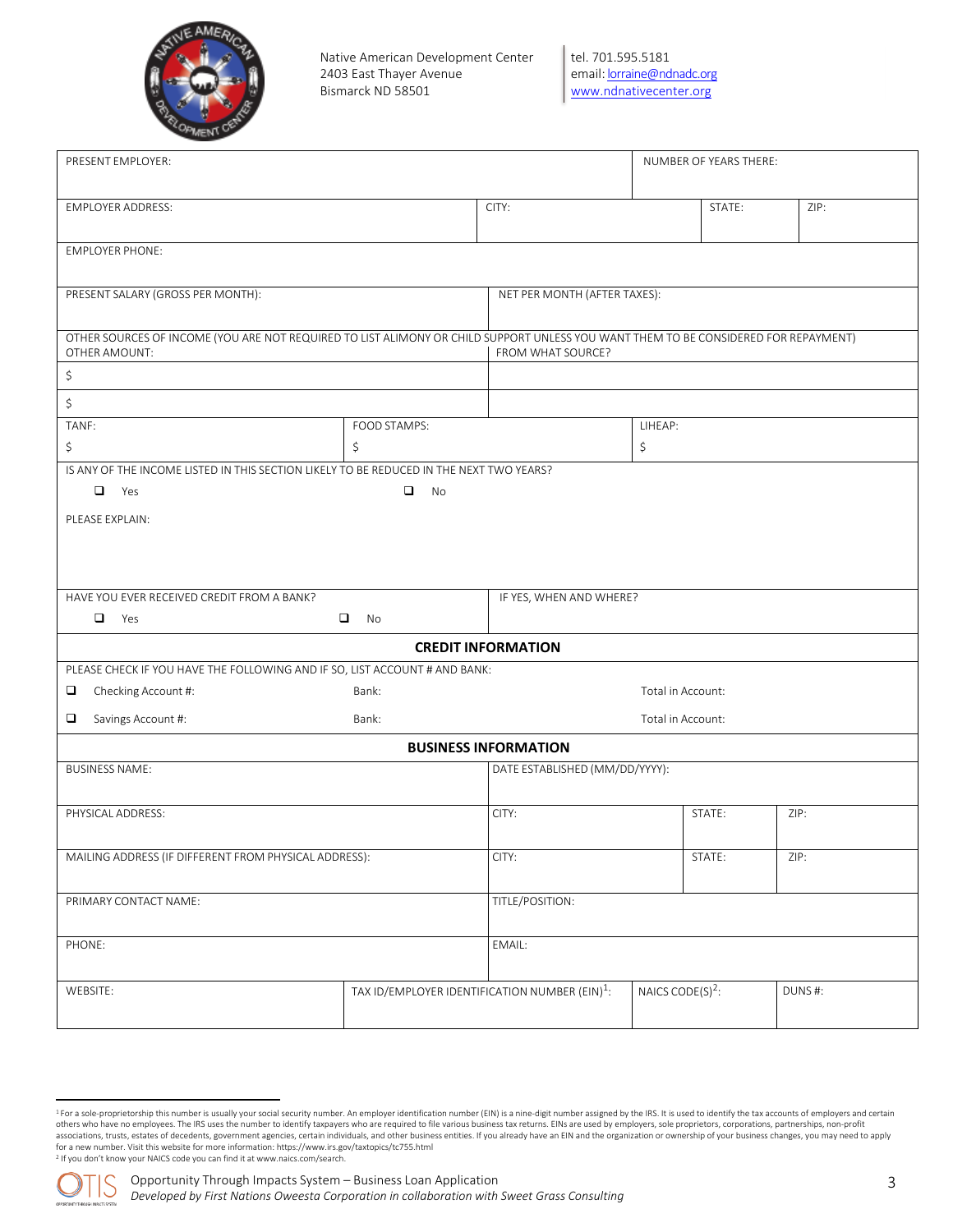

tel. 701.595.5181 email[: lorraine@ndnadc.org](mailto:lorraine@ndnadc.org) [www.ndnativecenter.org](http://www.ndnativecenter.org/)

| PRESENT EMPLOYER:                                     |                   |                                                                                                                                                                                                                                                                                                          |                                                                                                      |                                                                                                                                                                                                                                        |  |  |
|-------------------------------------------------------|-------------------|----------------------------------------------------------------------------------------------------------------------------------------------------------------------------------------------------------------------------------------------------------------------------------------------------------|------------------------------------------------------------------------------------------------------|----------------------------------------------------------------------------------------------------------------------------------------------------------------------------------------------------------------------------------------|--|--|
| <b>EMPLOYER ADDRESS:</b>                              |                   |                                                                                                                                                                                                                                                                                                          | STATE:                                                                                               | ZIP:                                                                                                                                                                                                                                   |  |  |
|                                                       |                   |                                                                                                                                                                                                                                                                                                          |                                                                                                      |                                                                                                                                                                                                                                        |  |  |
|                                                       |                   |                                                                                                                                                                                                                                                                                                          |                                                                                                      |                                                                                                                                                                                                                                        |  |  |
|                                                       | FROM WHAT SOURCE? |                                                                                                                                                                                                                                                                                                          |                                                                                                      |                                                                                                                                                                                                                                        |  |  |
|                                                       |                   |                                                                                                                                                                                                                                                                                                          |                                                                                                      |                                                                                                                                                                                                                                        |  |  |
|                                                       |                   |                                                                                                                                                                                                                                                                                                          |                                                                                                      |                                                                                                                                                                                                                                        |  |  |
| \$                                                    |                   | \$                                                                                                                                                                                                                                                                                                       |                                                                                                      |                                                                                                                                                                                                                                        |  |  |
|                                                       |                   |                                                                                                                                                                                                                                                                                                          |                                                                                                      |                                                                                                                                                                                                                                        |  |  |
| $\Box$<br><b>No</b>                                   |                   |                                                                                                                                                                                                                                                                                                          |                                                                                                      |                                                                                                                                                                                                                                        |  |  |
|                                                       |                   |                                                                                                                                                                                                                                                                                                          |                                                                                                      |                                                                                                                                                                                                                                        |  |  |
|                                                       |                   |                                                                                                                                                                                                                                                                                                          |                                                                                                      |                                                                                                                                                                                                                                        |  |  |
| $\Box$<br>No                                          |                   |                                                                                                                                                                                                                                                                                                          |                                                                                                      |                                                                                                                                                                                                                                        |  |  |
|                                                       |                   |                                                                                                                                                                                                                                                                                                          |                                                                                                      |                                                                                                                                                                                                                                        |  |  |
| Bank:                                                 |                   |                                                                                                                                                                                                                                                                                                          |                                                                                                      |                                                                                                                                                                                                                                        |  |  |
| Bank:                                                 | Total in Account: |                                                                                                                                                                                                                                                                                                          |                                                                                                      |                                                                                                                                                                                                                                        |  |  |
|                                                       |                   |                                                                                                                                                                                                                                                                                                          |                                                                                                      |                                                                                                                                                                                                                                        |  |  |
|                                                       |                   |                                                                                                                                                                                                                                                                                                          |                                                                                                      |                                                                                                                                                                                                                                        |  |  |
|                                                       | CITY:             |                                                                                                                                                                                                                                                                                                          |                                                                                                      | ZIP:                                                                                                                                                                                                                                   |  |  |
| MAILING ADDRESS (IF DIFFERENT FROM PHYSICAL ADDRESS): | CITY:             |                                                                                                                                                                                                                                                                                                          |                                                                                                      | ZIP:                                                                                                                                                                                                                                   |  |  |
|                                                       | TITLE/POSITION:   |                                                                                                                                                                                                                                                                                                          |                                                                                                      |                                                                                                                                                                                                                                        |  |  |
|                                                       | EMAIL:            |                                                                                                                                                                                                                                                                                                          |                                                                                                      |                                                                                                                                                                                                                                        |  |  |
|                                                       |                   |                                                                                                                                                                                                                                                                                                          |                                                                                                      | DUNS#:                                                                                                                                                                                                                                 |  |  |
|                                                       | FOOD STAMPS:      | CITY:<br>IS ANY OF THE INCOME LISTED IN THIS SECTION LIKELY TO BE REDUCED IN THE NEXT TWO YEARS?<br><b>CREDIT INFORMATION</b><br>PLEASE CHECK IF YOU HAVE THE FOLLOWING AND IF SO, LIST ACCOUNT # AND BANK:<br><b>BUSINESS INFORMATION</b><br>TAX ID/EMPLOYER IDENTIFICATION NUMBER (EIN) <sup>1</sup> : | NET PER MONTH (AFTER TAXES):<br>LIHEAP:<br>IF YES, WHEN AND WHERE?<br>DATE ESTABLISHED (MM/DD/YYYY): | NUMBER OF YEARS THERE:<br>OTHER SOURCES OF INCOME (YOU ARE NOT REQUIRED TO LIST ALIMONY OR CHILD SUPPORT UNLESS YOU WANT THEM TO BE CONSIDERED FOR REPAYMENT)<br>Total in Account:<br>STATE:<br>STATE:<br>NAICS CODE(S) <sup>2</sup> : |  |  |

<sup>&</sup>lt;sup>1</sup> For a sole-proprietorship this number is usually your social security number. An employer identification number (EIN) is a nine-digit number assigned by the IRS. It is used to identify the tax accounts of employers and others who have no employees. The IRS uses the number to identify taxpayers who are required to file various business tax returns. EINs are used by employers, sole proprietors, corporations, partnerships, non-profit associations, trusts, estates of decedents, government agencies, certain individuals, and other business entities. If you already have an EIN and the organization or ownership of your business changes, you may need to appl <sup>2</sup> If you don't know your NAICS code you can find it at [www.naics.com/search.](http://www.naics.com/search)

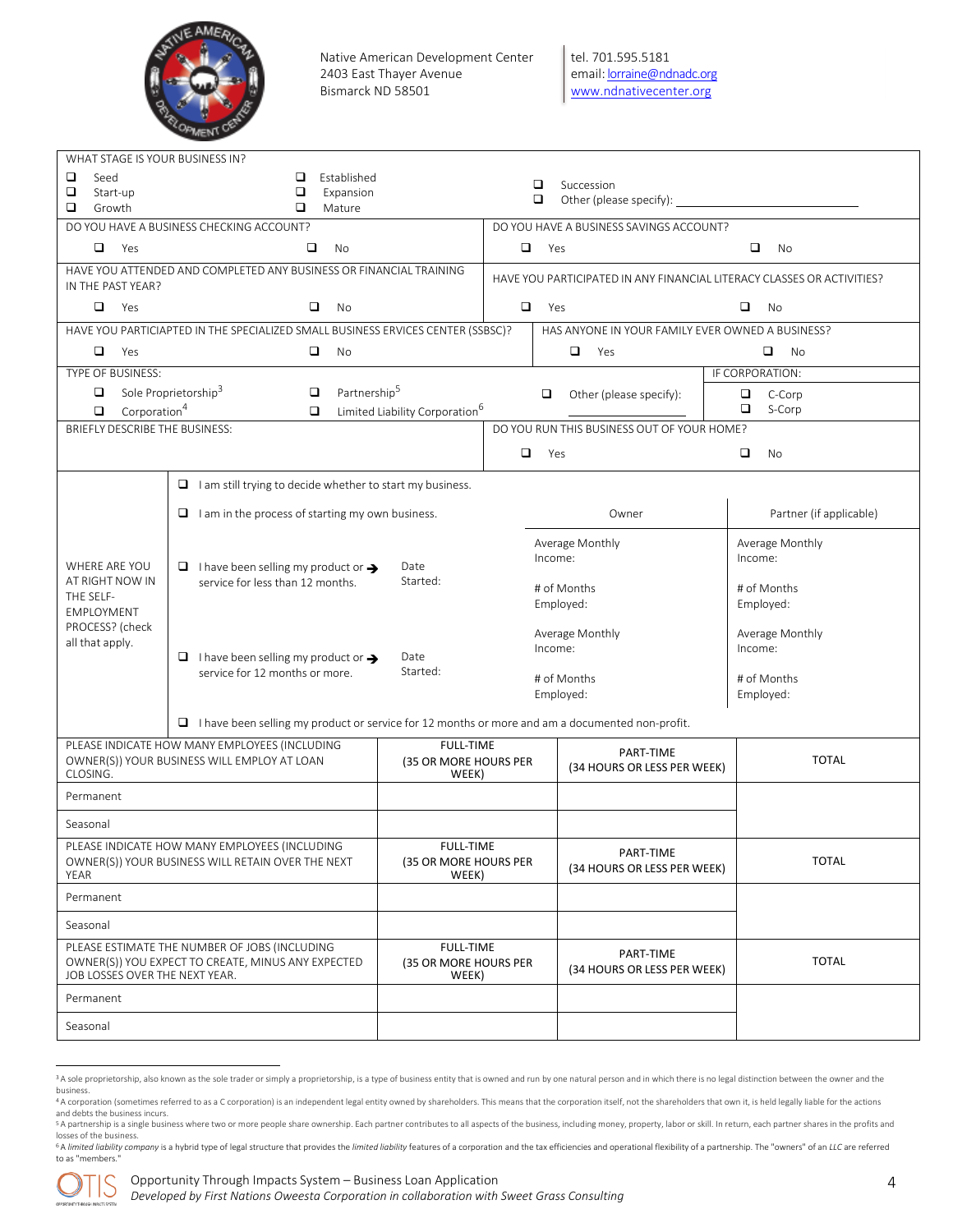

tel. 701.595.5181 email[: lorraine@ndnadc.org](mailto:lorraine@ndnadc.org) [www.ndnativecenter.org](http://www.ndnativecenter.org/)

| WHAT STAGE IS YOUR BUSINESS IN?<br>❏<br>Seed<br>□<br>Start-up                                                                         | Established<br>□<br>$\Box$<br>Expansion                                                                      |                                                    | □<br>$\Box$                | Succession                                                             |                                 |  |  |
|---------------------------------------------------------------------------------------------------------------------------------------|--------------------------------------------------------------------------------------------------------------|----------------------------------------------------|----------------------------|------------------------------------------------------------------------|---------------------------------|--|--|
| □<br>Growth                                                                                                                           | □<br>Mature                                                                                                  |                                                    |                            |                                                                        |                                 |  |  |
|                                                                                                                                       | DO YOU HAVE A BUSINESS CHECKING ACCOUNT?                                                                     |                                                    |                            | DO YOU HAVE A BUSINESS SAVINGS ACCOUNT?                                |                                 |  |  |
| □<br>Yes                                                                                                                              | □<br>No<br>HAVE YOU ATTENDED AND COMPLETED ANY BUSINESS OR FINANCIAL TRAINING                                |                                                    | $\Box$                     | Yes                                                                    | $\Box$<br><b>No</b>             |  |  |
| IN THE PAST YEAR?                                                                                                                     |                                                                                                              |                                                    |                            | HAVE YOU PARTICIPATED IN ANY FINANCIAL LITERACY CLASSES OR ACTIVITIES? |                                 |  |  |
| $\Box$<br>Yes                                                                                                                         | ▫<br>No                                                                                                      |                                                    | $\Box$                     | Yes                                                                    | ▫<br>No                         |  |  |
|                                                                                                                                       | HAVE YOU PARTICIAPTED IN THE SPECIALIZED SMALL BUSINESS ERVICES CENTER (SSBSC)?                              |                                                    |                            | HAS ANYONE IN YOUR FAMILY EVER OWNED A BUSINESS?                       |                                 |  |  |
| ▫<br>Yes                                                                                                                              | $\Box$<br>No                                                                                                 |                                                    |                            | $\Box$<br>Yes                                                          | o.<br>No                        |  |  |
| TYPE OF BUSINESS:                                                                                                                     |                                                                                                              |                                                    |                            |                                                                        | IF CORPORATION:                 |  |  |
| ▫<br>Corporation <sup>4</sup><br>□                                                                                                    | Partnership <sup>5</sup><br>Sole Proprietorship <sup>3</sup><br>□<br>□                                       | Limited Liability Corporation <sup>6</sup>         |                            | □<br>Other (please specify):                                           | $\Box$<br>C-Corp<br>▫<br>S-Corp |  |  |
| BRIEFLY DESCRIBE THE BUSINESS:                                                                                                        |                                                                                                              |                                                    |                            | DO YOU RUN THIS BUSINESS OUT OF YOUR HOME?                             |                                 |  |  |
|                                                                                                                                       |                                                                                                              |                                                    | $\Box$                     | Yes                                                                    | $\Box$<br>No                    |  |  |
|                                                                                                                                       | $\Box$ I am still trying to decide whether to start my business.                                             |                                                    |                            |                                                                        |                                 |  |  |
|                                                                                                                                       | $\Box$ I am in the process of starting my own business.                                                      |                                                    |                            | Owner                                                                  | Partner (if applicable)         |  |  |
| WHERE ARE YOU                                                                                                                         | $\Box$ I have been selling my product or $\rightarrow$                                                       |                                                    | Average Monthly<br>Income: | Average Monthly<br>Income:                                             |                                 |  |  |
| AT RIGHT NOW IN<br>THE SELF-<br>EMPLOYMENT                                                                                            | Date<br>Started:<br>service for less than 12 months.                                                         |                                                    |                            | # of Months<br>Employed:                                               | # of Months<br>Employed:        |  |  |
| PROCESS? (check<br>all that apply.                                                                                                    |                                                                                                              |                                                    | Average Monthly<br>Income: | Average Monthly<br>Income:                                             |                                 |  |  |
|                                                                                                                                       | Date<br>$\Box$ I have been selling my product or $\rightarrow$<br>Started:<br>service for 12 months or more. |                                                    |                            | # of Months<br>Employed:                                               | # of Months<br>Employed:        |  |  |
|                                                                                                                                       | $\Box$ I have been selling my product or service for 12 months or more and am a documented non-profit.       |                                                    |                            |                                                                        |                                 |  |  |
|                                                                                                                                       | PLEASE INDICATE HOW MANY EMPLOYEES (INCLUDING                                                                | <b>FULL-TIME</b>                                   |                            | PART-TIME                                                              |                                 |  |  |
| CLOSING.                                                                                                                              | OWNER(S)) YOUR BUSINESS WILL EMPLOY AT LOAN                                                                  | (35 OR MORE HOURS PER<br>WEEK)                     |                            | (34 HOURS OR LESS PER WEEK)                                            | <b>TOTAL</b>                    |  |  |
| Permanent                                                                                                                             |                                                                                                              |                                                    |                            |                                                                        |                                 |  |  |
| Seasonal                                                                                                                              |                                                                                                              |                                                    |                            |                                                                        |                                 |  |  |
| PLEASE INDICATE HOW MANY EMPLOYEES (INCLUDING<br>OWNER(S)) YOUR BUSINESS WILL RETAIN OVER THE NEXT<br>YEAR                            |                                                                                                              | FULL-TIME<br>(35 OR MORE HOURS PER<br>WEEK)        |                            | PART-TIME<br>(34 HOURS OR LESS PER WEEK)                               | <b>TOTAL</b>                    |  |  |
| Permanent                                                                                                                             |                                                                                                              |                                                    |                            |                                                                        |                                 |  |  |
| Seasonal                                                                                                                              |                                                                                                              |                                                    |                            |                                                                        |                                 |  |  |
| PLEASE ESTIMATE THE NUMBER OF JOBS (INCLUDING<br>OWNER(S)) YOU EXPECT TO CREATE, MINUS ANY EXPECTED<br>JOB LOSSES OVER THE NEXT YEAR. |                                                                                                              | <b>FULL-TIME</b><br>(35 OR MORE HOURS PER<br>WEEK) |                            | PART-TIME<br>(34 HOURS OR LESS PER WEEK)                               | <b>TOTAL</b>                    |  |  |
| Permanent                                                                                                                             |                                                                                                              |                                                    |                            |                                                                        |                                 |  |  |
| Seasonal                                                                                                                              |                                                                                                              |                                                    |                            |                                                                        |                                 |  |  |

<sup>&</sup>lt;sup>3</sup> A sole proprietorship, also known as the sole trader or simply a proprietorship, is a type of business entity that is owned and run by one natural person and in which there is no legal distinction between the owner and business. 4 A corporation (sometimes referred to as a C corporation) is an independent legal entity owned by shareholders. This means that the corporation itself, not the shareholders that own it, is held legally liable for the acti

and debts the business incurs.

<sup>5</sup> A partnership is a single business where two or more people share ownership. Each partner contributes to all aspects of the business, including money, property, labor or skill. In return, each partner shares in the profi losses of the business. 6 A limited liability company is a hybrid type of legal structure that provides the limited liability features of a corporation and the tax efficiencies and operational flexibility of a partnership. The "owners" of an LLC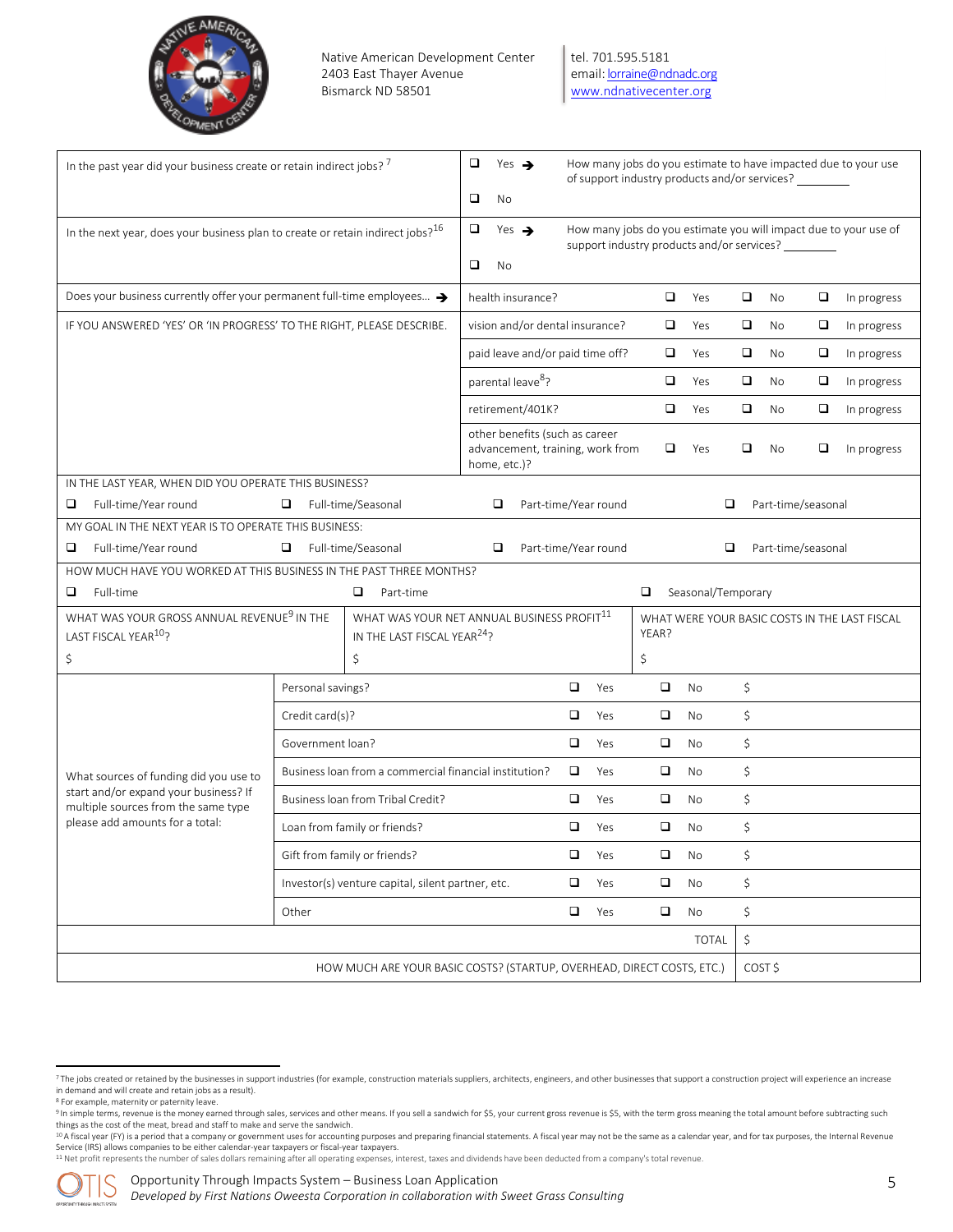

tel. 701.595.5181 email[: lorraine@ndnadc.org](mailto:lorraine@ndnadc.org) [www.ndnativecenter.org](http://www.ndnativecenter.org/)

| In the past year did your business create or retain indirect jobs? '                       | ❏<br>Yes $\rightarrow$<br>❏<br>No                                                     |                                                                                    |        |     | of support industry products and/or services? |                                                                        |        |                    | How many jobs do you estimate to have impacted due to your use   |                                               |
|--------------------------------------------------------------------------------------------|---------------------------------------------------------------------------------------|------------------------------------------------------------------------------------|--------|-----|-----------------------------------------------|------------------------------------------------------------------------|--------|--------------------|------------------------------------------------------------------|-----------------------------------------------|
| In the next year, does your business plan to create or retain indirect jobs? <sup>16</sup> | □<br>Yes $\rightarrow$<br>$\Box$<br>No                                                |                                                                                    |        |     | support industry products and/or services?    |                                                                        |        |                    | How many jobs do you estimate you will impact due to your use of |                                               |
| Does your business currently offer your permanent full-time employees >                    | health insurance?                                                                     |                                                                                    |        | ▫   | Yes                                           | $\Box$                                                                 | No     | $\Box$             | In progress                                                      |                                               |
| IF YOU ANSWERED 'YES' OR 'IN PROGRESS' TO THE RIGHT, PLEASE DESCRIBE.                      |                                                                                       | vision and/or dental insurance?                                                    |        |     | ▫                                             | Yes                                                                    | $\Box$ | No                 | □                                                                | In progress                                   |
|                                                                                            |                                                                                       | paid leave and/or paid time off?                                                   |        |     | ▫                                             | Yes                                                                    | $\Box$ | No                 | □                                                                | In progress                                   |
|                                                                                            |                                                                                       | parental leave <sup>8</sup> ?                                                      |        |     | $\Box$                                        | Yes                                                                    | $\Box$ | No                 | □                                                                | In progress                                   |
|                                                                                            |                                                                                       | retirement/401K?                                                                   |        |     | □                                             | Yes                                                                    | $\Box$ | No                 | □                                                                | In progress                                   |
|                                                                                            |                                                                                       | other benefits (such as career<br>advancement, training, work from<br>home, etc.)? |        |     | □                                             | Yes                                                                    | ◻      | No                 | ❏                                                                | In progress                                   |
| IN THE LAST YEAR, WHEN DID YOU OPERATE THIS BUSINESS?                                      |                                                                                       |                                                                                    |        |     |                                               |                                                                        |        |                    |                                                                  |                                               |
| Full-time/Year round<br>❏<br>MY GOAL IN THE NEXT YEAR IS TO OPERATE THIS BUSINESS:         | Full-time/Seasonal<br>❏                                                               | Part-time/Year round<br>❏                                                          |        |     |                                               |                                                                        | ❏      | Part-time/seasonal |                                                                  |                                               |
| Full-time/Year round<br>❏                                                                  | $\Box$<br>Full-time/Seasonal                                                          | Part-time/Year round<br>□                                                          |        |     |                                               |                                                                        | ❏      | Part-time/seasonal |                                                                  |                                               |
| HOW MUCH HAVE YOU WORKED AT THIS BUSINESS IN THE PAST THREE MONTHS?                        |                                                                                       |                                                                                    |        |     |                                               |                                                                        |        |                    |                                                                  |                                               |
| Full-time<br>❏                                                                             | □<br>Part-time                                                                        |                                                                                    |        |     | □                                             | Seasonal/Temporary                                                     |        |                    |                                                                  |                                               |
| WHAT WAS YOUR GROSS ANNUAL REVENUE <sup>9</sup> IN THE<br>LAST FISCAL YEAR <sup>10</sup> ? | WHAT WAS YOUR NET ANNUAL BUSINESS PROFIT11<br>IN THE LAST FISCAL YEAR <sup>24</sup> ? |                                                                                    |        |     | YEAR?                                         |                                                                        |        |                    |                                                                  | WHAT WERE YOUR BASIC COSTS IN THE LAST FISCAL |
| \$                                                                                         | \$                                                                                    |                                                                                    |        |     | \$                                            |                                                                        |        |                    |                                                                  |                                               |
|                                                                                            | Personal savings?                                                                     |                                                                                    | ▫      | Yes | $\Box$                                        | <b>No</b>                                                              | \$     |                    |                                                                  |                                               |
|                                                                                            | Credit card(s)?                                                                       |                                                                                    | $\Box$ | Yes | $\Box$                                        | <b>No</b>                                                              | \$     |                    |                                                                  |                                               |
|                                                                                            | Government loan?                                                                      |                                                                                    | $\Box$ | Yes | $\Box$                                        | No                                                                     | \$     |                    |                                                                  |                                               |
| What sources of funding did you use to                                                     | Business loan from a commercial financial institution?                                |                                                                                    | $\Box$ | Yes | $\Box$                                        | <b>No</b>                                                              | \$     |                    |                                                                  |                                               |
| start and/or expand your business? If<br>multiple sources from the same type               | Business loan from Tribal Credit?                                                     |                                                                                    | ▫      | Yes | $\Box$                                        | No                                                                     | \$     |                    |                                                                  |                                               |
| please add amounts for a total:                                                            | Loan from family or friends?                                                          |                                                                                    | $\Box$ | Yes | $\Box$                                        | No                                                                     | \$     |                    |                                                                  |                                               |
|                                                                                            | Gift from family or friends?                                                          |                                                                                    | ❏      | Yes | □                                             | No                                                                     | \$     |                    |                                                                  |                                               |
| Investor(s) venture capital, silent partner, etc.                                          |                                                                                       |                                                                                    | $\Box$ | Yes | $\Box$                                        | No                                                                     | \$     |                    |                                                                  |                                               |
|                                                                                            | Other                                                                                 |                                                                                    | $\Box$ | Yes | $\Box$                                        | No                                                                     | \$     |                    |                                                                  |                                               |
|                                                                                            |                                                                                       |                                                                                    |        |     |                                               | <b>TOTAL</b>                                                           | \$     |                    |                                                                  |                                               |
|                                                                                            |                                                                                       |                                                                                    |        |     |                                               | HOW MUCH ARE YOUR BASIC COSTS? (STARTUP, OVERHEAD, DIRECT COSTS, ETC.) |        | COST \$            |                                                                  |                                               |



<sup>7</sup>The jobs created or retained by the businesses in support industries (for example, construction materials suppliers, architects, engineers, and other businesses that support a construction project will experience an incre in demand and will create and retain jobs as a result). **8** For example, maternity or paternity leave.

<sup>9</sup> In simple terms, revenue is the money earned through sales, services and other means. If you sell a sandwich for \$5, your current gross revenue is \$5, with the term gross meaning the total amount before subtracting such things as the cost of the meat, bread and staff to make and serve the sandwich.

<sup>™</sup>A fiscal year (FY) is a period that a company or government uses for accounting purposes and preparing financial statements. A fiscal year may not be the same as a calendar year, and for tax purposes, the Internal Reven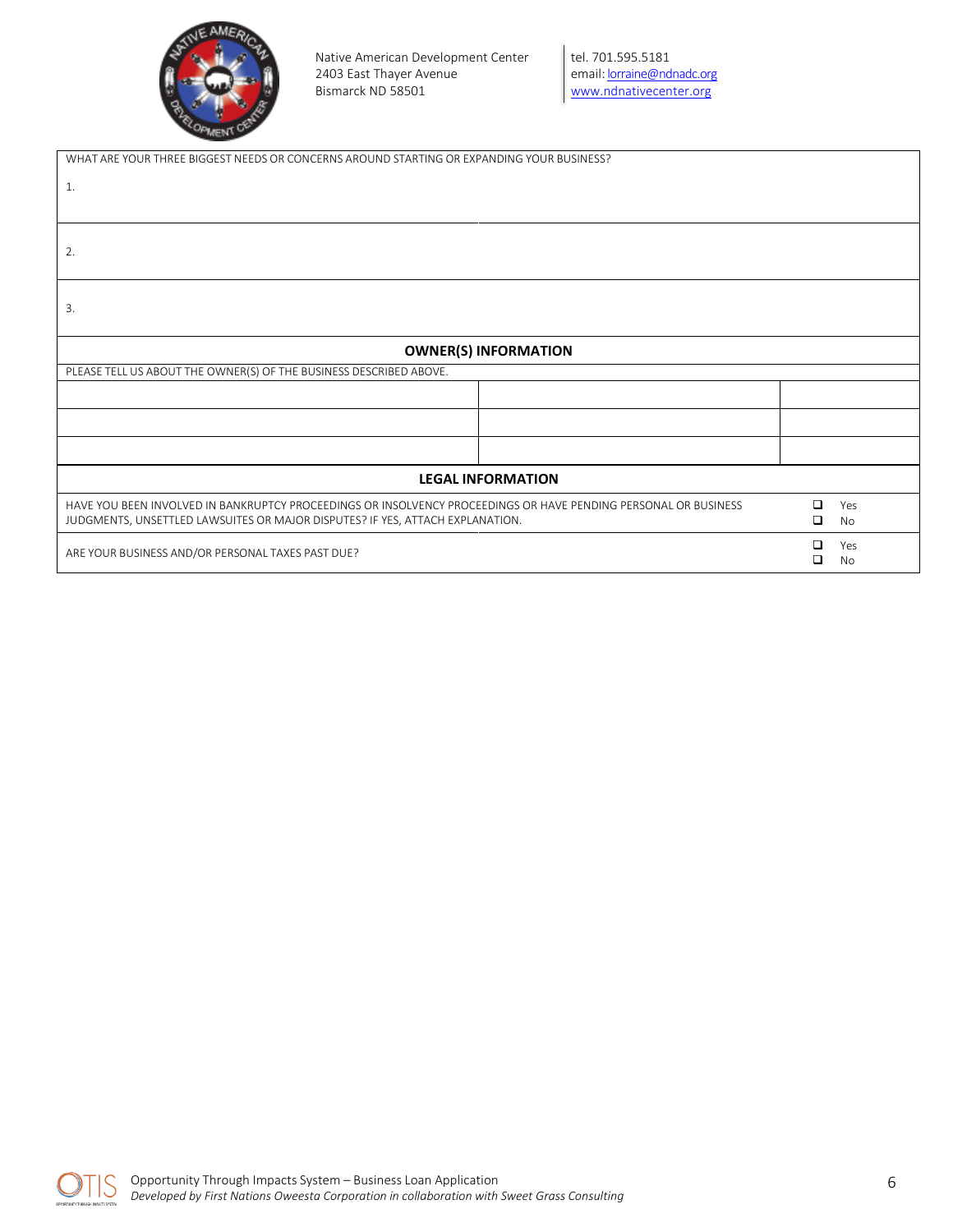

| WHAT ARE YOUR THREE BIGGEST NEEDS OR CONCERNS AROUND STARTING OR EXPANDING YOUR BUSINESS?                                                                                                        |             |           |
|--------------------------------------------------------------------------------------------------------------------------------------------------------------------------------------------------|-------------|-----------|
| 1.                                                                                                                                                                                               |             |           |
| 2.                                                                                                                                                                                               |             |           |
| 3.                                                                                                                                                                                               |             |           |
| <b>OWNER(S) INFORMATION</b>                                                                                                                                                                      |             |           |
| PLEASE TELL US ABOUT THE OWNER(S) OF THE BUSINESS DESCRIBED ABOVE.                                                                                                                               |             |           |
|                                                                                                                                                                                                  |             |           |
|                                                                                                                                                                                                  |             |           |
|                                                                                                                                                                                                  |             |           |
| <b>LEGAL INFORMATION</b>                                                                                                                                                                         |             |           |
| HAVE YOU BEEN INVOLVED IN BANKRUPTCY PROCEEDINGS OR INSOLVENCY PROCEEDINGS OR HAVE PENDING PERSONAL OR BUSINESS<br>JUDGMENTS, UNSETTLED LAWSUITES OR MAJOR DISPUTES? IF YES, ATTACH EXPLANATION. | ◻<br>$\Box$ | Yes<br>No |
| ARE YOUR BUSINESS AND/OR PERSONAL TAXES PAST DUE?                                                                                                                                                | □<br>□      | Yes<br>No |